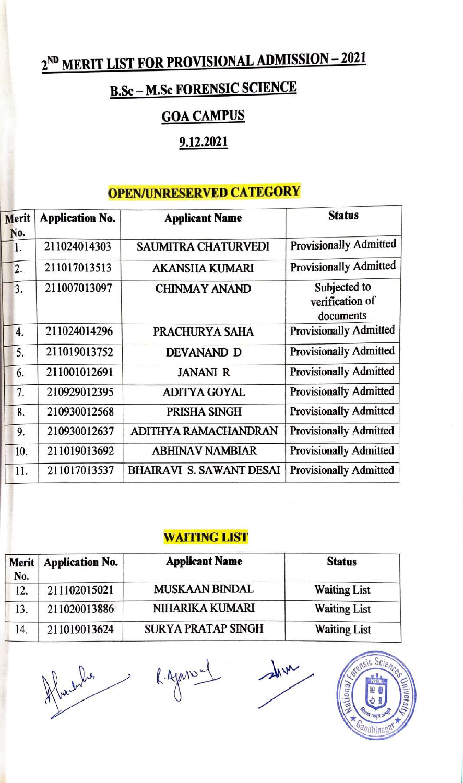# **2ND MERIT LIST FOR PROVISIONAL ADMISSION** - **2021**

# **B.Sc - M.Sc FORENSIC SCIENCE**

## **GOACAMPUS**

# **9.12.2021**

## **OPEN/UNRESERVED CATEGORY**

| Merit     | <b>Application No.</b> | <b>Applicant Name</b>           | <b>Status</b>                                |
|-----------|------------------------|---------------------------------|----------------------------------------------|
| No.<br>1. | 211024014303           | <b>SAUMITRA CHATURVEDI</b>      | <b>Provisionally Admitted</b>                |
| 2.        | 211017013513           | <b>AKANSHA KUMARI</b>           | <b>Provisionally Admitted</b>                |
| 3.        | 211007013097           | <b>CHINMAY ANAND</b>            | Subjected to<br>verification of<br>documents |
| 4.        | 211024014296           | PRACHURYA SAHA                  | <b>Provisionally Admitted</b>                |
| 5.        | 211019013752           | <b>DEVANAND D</b>               | <b>Provisionally Admitted</b>                |
| 6.        | 211001012691           | <b>JANANI R</b>                 | <b>Provisionally Admitted</b>                |
| 7.        | 210929012395           | <b>ADITYA GOYAL</b>             | <b>Provisionally Admitted</b>                |
| 8.        | 210930012568           | PRISHA SINGH                    | <b>Provisionally Admitted</b>                |
| 9.        | 210930012637           | ADITHYA RAMACHANDRAN            | <b>Provisionally Admitted</b>                |
| 10.       | 211019013692           | <b>ABHINAV NAMBIAR</b>          | <b>Provisionally Admitted</b>                |
| 11.       | 211017013537           | <b>BHAIRAVI S. SAWANT DESAI</b> | <b>Provisionally Admitted</b>                |

#### **WAITING LIST**

| No. | Merit   Application No. | <b>Applicant Name</b>     | <b>Status</b>       |
|-----|-------------------------|---------------------------|---------------------|
| 12. | 211102015021            | <b>MUSKAAN BINDAL</b>     | <b>Waiting List</b> |
| 13. | 211020013886            | <b>NIHARIKA KUMARI</b>    | <b>Waiting List</b> |
| 14. | 211019013624            | <b>SURYA PRATAP SINGH</b> | <b>Waiting List</b> |



I

 $\frac{1}{2}$ 

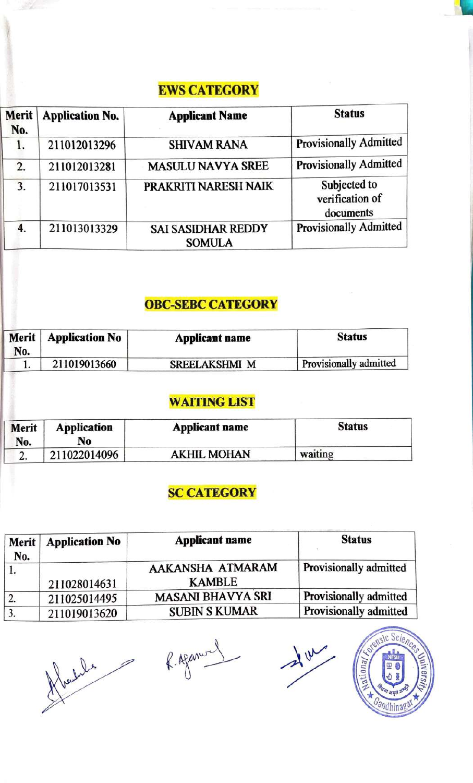#### **EWS CATEGORY**

| Merit<br>No. | <b>Application No.</b> | <b>Applicant Name</b>                      | <b>Status</b>                                |
|--------------|------------------------|--------------------------------------------|----------------------------------------------|
| 1.           | 211012013296           | <b>SHIVAM RANA</b>                         | <b>Provisionally Admitted</b>                |
| 2.           | 211012013281           | <b>MASULU NAVYA SREE</b>                   | <b>Provisionally Admitted</b>                |
| 3.           | 211017013531           | PRAKRITI NARESH NAIK                       | Subjected to<br>verification of<br>documents |
| 4.           | 211013013329           | <b>SAI SASIDHAR REDDY</b><br><b>SOMULA</b> | <b>Provisionally Admitted</b>                |

### **OBC-SEBC CATEGORY**

| Merit  <br>No. | <b>Application No</b> | Applicant name       | <b>Status</b>          |
|----------------|-----------------------|----------------------|------------------------|
|                | 211019013660          | <b>SREELAKSHMI M</b> | Provisionally admitted |

#### **WAITING LIST**

| Merit<br>No. | <b>Application</b><br>No | <b>Applicant name</b> | <b>Status</b> |
|--------------|--------------------------|-----------------------|---------------|
| <u>.</u>     | 211022014096             | <b>AKHIL MOHAN</b>    | waiting       |

## **SC CATEGORY**

| Merit  <br>No. | <b>Application No</b> | <b>Applicant name</b>             | <b>Status</b>          |
|----------------|-----------------------|-----------------------------------|------------------------|
|                | 211028014631          | AAKANSHA ATMARAM<br><b>KAMBLE</b> | Provisionally admitted |
| 2.             | 211025014495          | <b>MASANI BHAVYA SRI</b>          | Provisionally admitted |
| 3.             | 211019013620          | <b>SUBIN S KUMAR</b>              | Provisionally admitted |

flachedes highway

'

Jur